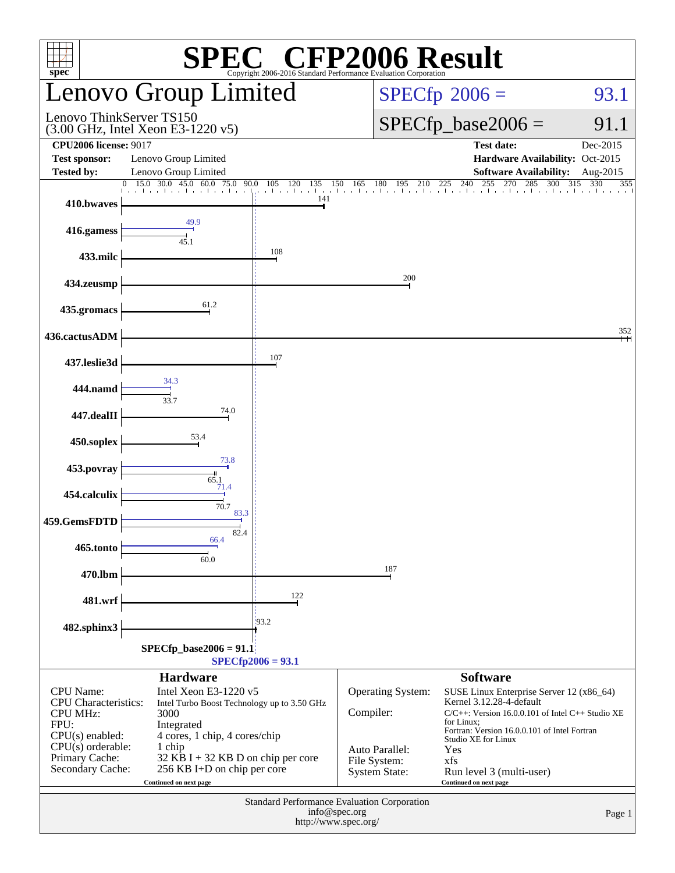| $spec^*$                                                                                                                                                     |                                                                                                                                                                                                                                        |                          | <b>SPEC<sup>®</sup></b> CFP2006 Result<br>vright 2006-2016 Standard Performance Evaluation Corporation |                                                                                                                                                                                                                                                                                        |                                |  |  |
|--------------------------------------------------------------------------------------------------------------------------------------------------------------|----------------------------------------------------------------------------------------------------------------------------------------------------------------------------------------------------------------------------------------|--------------------------|--------------------------------------------------------------------------------------------------------|----------------------------------------------------------------------------------------------------------------------------------------------------------------------------------------------------------------------------------------------------------------------------------------|--------------------------------|--|--|
|                                                                                                                                                              | Lenovo Group Limited                                                                                                                                                                                                                   |                          |                                                                                                        | $SPECfp^{\circ}2006 =$<br>93.1                                                                                                                                                                                                                                                         |                                |  |  |
| Lenovo ThinkServer TS150                                                                                                                                     | $(3.00 \text{ GHz}, \text{Intel Xeon E}3-1220 \text{ v}5)$                                                                                                                                                                             |                          |                                                                                                        | $SPECfp\_base2006 =$                                                                                                                                                                                                                                                                   | 91.1                           |  |  |
| <b>CPU2006</b> license: 9017<br><b>Test sponsor:</b><br><b>Tested by:</b>                                                                                    | Lenovo Group Limited<br>Lenovo Group Limited                                                                                                                                                                                           |                          |                                                                                                        | <b>Test date:</b><br>Hardware Availability: Oct-2015<br><b>Software Availability:</b>                                                                                                                                                                                                  | Dec-2015<br>Aug-2015           |  |  |
| 410.bwaves                                                                                                                                                   | 15.0 30.0 45.0<br>$\overline{0}$<br>60.0<br>75.0<br>90.0<br>المتحارب والمتحارب والمتحارب والمتحارب والمتحار                                                                                                                            | 105<br>120<br>135<br>141 | 150<br>165<br>180                                                                                      | $\begin{array}{ccccccc}\n0 & 195 & 210 & 225 & 240 & 255 & 270 & 285 & 30 \\  & \downarrow & \downarrow & \downarrow & \downarrow & \downarrow & \downarrow & \downarrow & \downarrow\n\end{array}$<br>300                                                                             | $\overline{3}15$<br>330<br>355 |  |  |
| 416.gamess                                                                                                                                                   | 49.9<br>45.1                                                                                                                                                                                                                           |                          |                                                                                                        |                                                                                                                                                                                                                                                                                        |                                |  |  |
| 433.milc                                                                                                                                                     |                                                                                                                                                                                                                                        | 108                      |                                                                                                        |                                                                                                                                                                                                                                                                                        |                                |  |  |
| 434.zeusmp                                                                                                                                                   |                                                                                                                                                                                                                                        |                          | 200                                                                                                    |                                                                                                                                                                                                                                                                                        |                                |  |  |
| 435.gromacs                                                                                                                                                  | 61.2                                                                                                                                                                                                                                   |                          |                                                                                                        |                                                                                                                                                                                                                                                                                        |                                |  |  |
| 436.cactusADM                                                                                                                                                |                                                                                                                                                                                                                                        |                          |                                                                                                        |                                                                                                                                                                                                                                                                                        | 352                            |  |  |
| 437.leslie3d                                                                                                                                                 |                                                                                                                                                                                                                                        | 107                      |                                                                                                        |                                                                                                                                                                                                                                                                                        |                                |  |  |
| 444.namd                                                                                                                                                     | 34.3<br>33.7                                                                                                                                                                                                                           |                          |                                                                                                        |                                                                                                                                                                                                                                                                                        |                                |  |  |
| 447.dealII                                                                                                                                                   | 74.0                                                                                                                                                                                                                                   |                          |                                                                                                        |                                                                                                                                                                                                                                                                                        |                                |  |  |
| 450.soplex                                                                                                                                                   | 53.4                                                                                                                                                                                                                                   |                          |                                                                                                        |                                                                                                                                                                                                                                                                                        |                                |  |  |
| 453.povray                                                                                                                                                   | 73.8<br>65.1                                                                                                                                                                                                                           |                          |                                                                                                        |                                                                                                                                                                                                                                                                                        |                                |  |  |
| 454.calculix                                                                                                                                                 | 71.4<br>70.7                                                                                                                                                                                                                           |                          |                                                                                                        |                                                                                                                                                                                                                                                                                        |                                |  |  |
| 459.GemsFDTD                                                                                                                                                 | 83.3<br>82.4                                                                                                                                                                                                                           |                          |                                                                                                        |                                                                                                                                                                                                                                                                                        |                                |  |  |
| 465.tonto                                                                                                                                                    | 66.4<br>60.0                                                                                                                                                                                                                           |                          |                                                                                                        |                                                                                                                                                                                                                                                                                        |                                |  |  |
| 470.lbm                                                                                                                                                      |                                                                                                                                                                                                                                        |                          | 187                                                                                                    |                                                                                                                                                                                                                                                                                        |                                |  |  |
| 481.wrf                                                                                                                                                      |                                                                                                                                                                                                                                        | 122                      |                                                                                                        |                                                                                                                                                                                                                                                                                        |                                |  |  |
| 482.sphinx3                                                                                                                                                  |                                                                                                                                                                                                                                        | 193.2                    |                                                                                                        |                                                                                                                                                                                                                                                                                        |                                |  |  |
|                                                                                                                                                              | $SPECfp\_base2006 = 91.1$                                                                                                                                                                                                              | $SPECfp2006 = 93.1$      |                                                                                                        |                                                                                                                                                                                                                                                                                        |                                |  |  |
|                                                                                                                                                              | <b>Hardware</b>                                                                                                                                                                                                                        |                          |                                                                                                        | <b>Software</b>                                                                                                                                                                                                                                                                        |                                |  |  |
| <b>CPU</b> Name:<br><b>CPU</b> Characteristics:<br><b>CPU MHz:</b><br>FPU:<br>$CPU(s)$ enabled:<br>$CPU(s)$ orderable:<br>Primary Cache:<br>Secondary Cache: | Intel Xeon E3-1220 v5<br>Intel Turbo Boost Technology up to 3.50 GHz<br>3000<br>Integrated<br>4 cores, 1 chip, 4 cores/chip<br>1 chip<br>$32$ KB I + 32 KB D on chip per core<br>256 KB I+D on chip per core<br>Continued on next page |                          | Operating System:<br>Compiler:<br>Auto Parallel:<br>File System:<br><b>System State:</b>               | SUSE Linux Enterprise Server 12 (x86_64)<br>Kernel 3.12.28-4-default<br>$C/C++$ : Version 16.0.0.101 of Intel $C++$ Studio XE<br>for Linux;<br>Fortran: Version 16.0.0.101 of Intel Fortran<br>Studio XE for Linux<br>Yes<br>xfs<br>Run level 3 (multi-user)<br>Continued on next page |                                |  |  |
|                                                                                                                                                              |                                                                                                                                                                                                                                        | info@spec.org            | Standard Performance Evaluation Corporation<br>http://www.spec.org/                                    |                                                                                                                                                                                                                                                                                        | Page 1                         |  |  |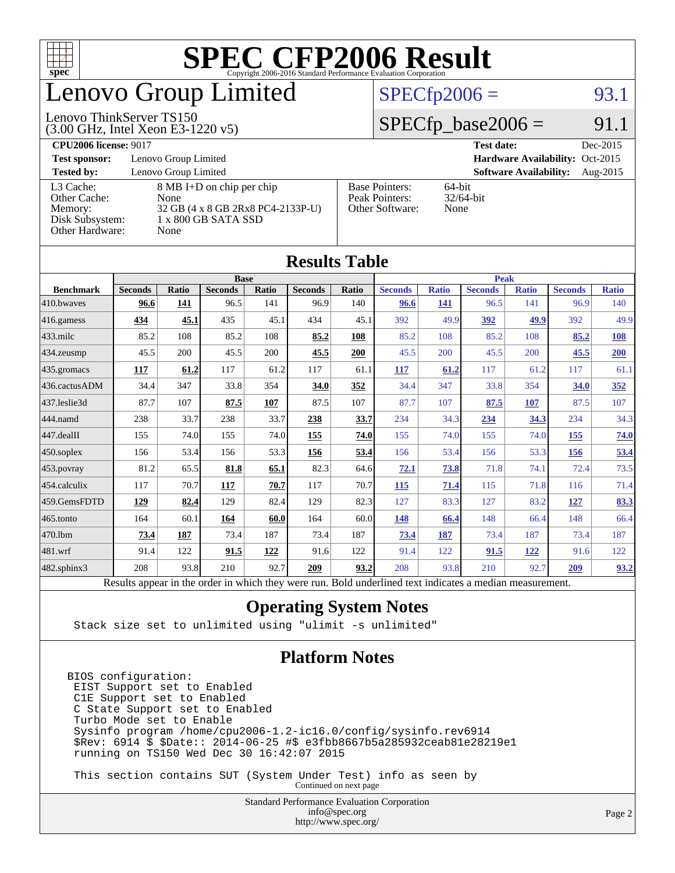

# enovo Group Limited

#### $SPECTp2006 = 93.1$

#### (3.00 GHz, Intel Xeon E3-1220 v5) Lenovo ThinkServer TS150

**[CPU2006 license:](http://www.spec.org/auto/cpu2006/Docs/result-fields.html#CPU2006license)** 9017 **[Test date:](http://www.spec.org/auto/cpu2006/Docs/result-fields.html#Testdate)** Dec-2015

 $SPECfp\_base2006 = 91.1$ 

**[Test sponsor:](http://www.spec.org/auto/cpu2006/Docs/result-fields.html#Testsponsor)** Lenovo Group Limited **[Hardware Availability:](http://www.spec.org/auto/cpu2006/Docs/result-fields.html#HardwareAvailability)** Oct-2015 **[Tested by:](http://www.spec.org/auto/cpu2006/Docs/result-fields.html#Testedby)** Lenovo Group Limited **[Software Availability:](http://www.spec.org/auto/cpu2006/Docs/result-fields.html#SoftwareAvailability)** Aug-2015 [L3 Cache:](http://www.spec.org/auto/cpu2006/Docs/result-fields.html#L3Cache) 8 MB I+D on chip per chip<br>Other Cache: None [Other Cache:](http://www.spec.org/auto/cpu2006/Docs/result-fields.html#OtherCache) [Memory:](http://www.spec.org/auto/cpu2006/Docs/result-fields.html#Memory) 32 GB (4 x 8 GB 2Rx8 PC4-2133P-U) [Disk Subsystem:](http://www.spec.org/auto/cpu2006/Docs/result-fields.html#DiskSubsystem) 1 x 800 GB SATA SSD [Other Hardware:](http://www.spec.org/auto/cpu2006/Docs/result-fields.html#OtherHardware) None [Base Pointers:](http://www.spec.org/auto/cpu2006/Docs/result-fields.html#BasePointers) 64-bit<br>Peak Pointers: 32/64-bit [Peak Pointers:](http://www.spec.org/auto/cpu2006/Docs/result-fields.html#PeakPointers) [Other Software:](http://www.spec.org/auto/cpu2006/Docs/result-fields.html#OtherSoftware) None

| Results Table          |                                                                                                          |              |                |       |                |       |                |              |                |              |                |              |
|------------------------|----------------------------------------------------------------------------------------------------------|--------------|----------------|-------|----------------|-------|----------------|--------------|----------------|--------------|----------------|--------------|
|                        | <b>Base</b>                                                                                              |              |                |       | <b>Peak</b>    |       |                |              |                |              |                |              |
| <b>Benchmark</b>       | <b>Seconds</b>                                                                                           | <b>Ratio</b> | <b>Seconds</b> | Ratio | <b>Seconds</b> | Ratio | <b>Seconds</b> | <b>Ratio</b> | <b>Seconds</b> | <b>Ratio</b> | <b>Seconds</b> | <b>Ratio</b> |
| 410.bwayes             | 96.6                                                                                                     | <u>141</u>   | 96.5           | 141   | 96.9           | 140   | 96.6           | <u>141</u>   | 96.5           | 141          | 96.9           | 140          |
| 416.gamess             | 434                                                                                                      | 45.1         | 435            | 45.1  | 434            | 45.1  | 392            | 49.9         | 392            | 49.9         | 392            | 49.9         |
| $ 433 \text{.}$ milc   | 85.2                                                                                                     | 108          | 85.2           | 108   | 85.2           | 108   | 85.2           | 108          | 85.2           | 108          | 85.2           | 108          |
| 434.zeusmp             | 45.5                                                                                                     | 200          | 45.5           | 200   | 45.5           | 200   | 45.5           | 200          | 45.5           | 200          | 45.5           | 200          |
| $435$ .gromacs         | 117                                                                                                      | 61.2         | 117            | 61.2  | 117            | 61.1  | <b>117</b>     | 61.2         | 117            | 61.2         | 117            | 61.1         |
| 436.cactusADM          | 34.4                                                                                                     | 347          | 33.8           | 354   | 34.0           | 352   | 34.4           | 347          | 33.8           | 354          | 34.0           | 352          |
| 437.leslie3d           | 87.7                                                                                                     | 107          | 87.5           | 107   | 87.5           | 107   | 87.7           | 107          | 87.5           | 107          | 87.5           | 107          |
| 444.namd               | 238                                                                                                      | 33.7         | 238            | 33.7  | 238            | 33.7  | 234            | 34.3         | 234            | 34.3         | 234            | 34.3         |
| $ 447 \text{.}$ dealII | 155                                                                                                      | 74.0         | 155            | 74.0  | 155            | 74.0  | 155            | 74.0         | 155            | 74.0         | 155            | 74.0         |
| $450$ .soplex          | 156                                                                                                      | 53.4         | 156            | 53.3  | 156            | 53.4  | 156            | 53.4         | 156            | 53.3         | 156            | 53.4         |
| 453.povray             | 81.2                                                                                                     | 65.5         | 81.8           | 65.1  | 82.3           | 64.6  | 72.1           | <b>73.8</b>  | 71.8           | 74.1         | 72.4           | 73.5         |
| $ 454$ .calculix       | 117                                                                                                      | 70.7         | <b>117</b>     | 70.7  | 117            | 70.7  | <b>115</b>     | 71.4         | 115            | 71.8         | 116            | 71.4         |
| 459.GemsFDTD           | 129                                                                                                      | 82.4         | 129            | 82.4  | 129            | 82.3  | 127            | 83.3         | 127            | 83.2         | 127            | 83.3         |
| $ 465$ .tonto          | 164                                                                                                      | 60.1         | 164            | 60.0  | 164            | 60.0  | 148            | 66.4         | 148            | 66.4         | 148            | 66.4         |
| 470.lbm                | 73.4                                                                                                     | 187          | 73.4           | 187   | 73.4           | 187   | 73.4           | 187          | 73.4           | 187          | 73.4           | 187          |
| 481.wrf                | 91.4                                                                                                     | 122          | 91.5           | 122   | 91.6           | 122   | 91.4           | 122          | 91.5           | <u>122</u>   | 91.6           | 122          |
| 482.sphinx3            | 208                                                                                                      | 93.8         | 210            | 92.7  | 209            | 93.2  | 208            | 93.8         | 210            | 92.7         | 209            | 93.2         |
|                        | Results appear in the order in which they were run. Bold underlined text indicates a median measurement. |              |                |       |                |       |                |              |                |              |                |              |

**[Results Table](http://www.spec.org/auto/cpu2006/Docs/result-fields.html#ResultsTable)**

#### **[Operating System Notes](http://www.spec.org/auto/cpu2006/Docs/result-fields.html#OperatingSystemNotes)**

Stack size set to unlimited using "ulimit -s unlimited"

#### **[Platform Notes](http://www.spec.org/auto/cpu2006/Docs/result-fields.html#PlatformNotes)**

BIOS configuration: EIST Support set to Enabled C1E Support set to Enabled C State Support set to Enabled Turbo Mode set to Enable Sysinfo program /home/cpu2006-1.2-ic16.0/config/sysinfo.rev6914 \$Rev: 6914 \$ \$Date:: 2014-06-25 #\$ e3fbb8667b5a285932ceab81e28219e1 running on TS150 Wed Dec 30 16:42:07 2015

 This section contains SUT (System Under Test) info as seen by Continued on next page

> Standard Performance Evaluation Corporation [info@spec.org](mailto:info@spec.org) <http://www.spec.org/>

#### Page 2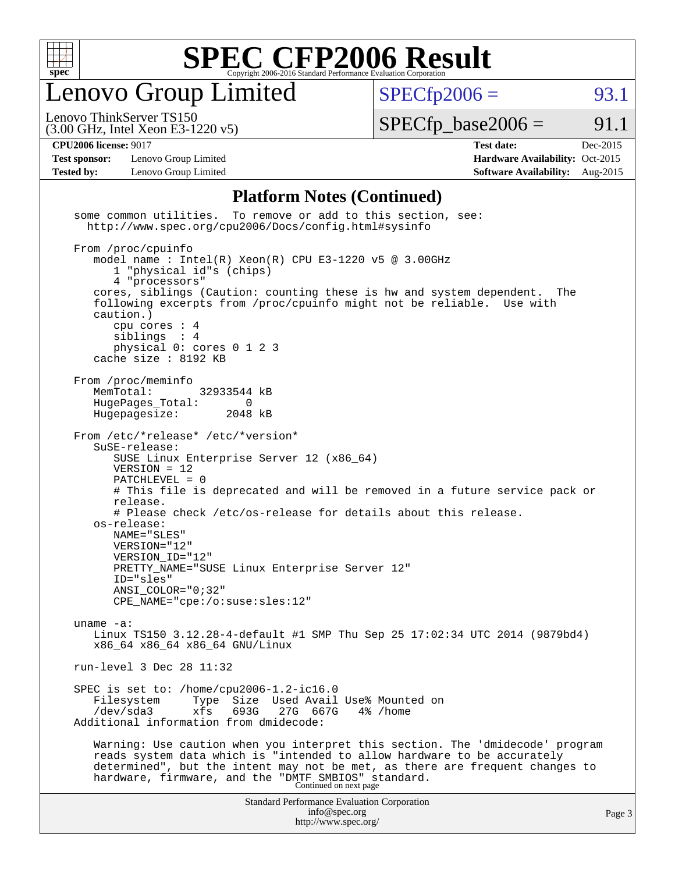

enovo Group Limited

 $SPECTp2006 = 93.1$ 

(3.00 GHz, Intel Xeon E3-1220 v5) Lenovo ThinkServer TS150

 $SPECTp\_base2006 = 91.1$ 

**[Test sponsor:](http://www.spec.org/auto/cpu2006/Docs/result-fields.html#Testsponsor)** Lenovo Group Limited **[Hardware Availability:](http://www.spec.org/auto/cpu2006/Docs/result-fields.html#HardwareAvailability)** Oct-2015

**[CPU2006 license:](http://www.spec.org/auto/cpu2006/Docs/result-fields.html#CPU2006license)** 9017 **[Test date:](http://www.spec.org/auto/cpu2006/Docs/result-fields.html#Testdate)** Dec-2015 **[Tested by:](http://www.spec.org/auto/cpu2006/Docs/result-fields.html#Testedby)** Lenovo Group Limited **[Software Availability:](http://www.spec.org/auto/cpu2006/Docs/result-fields.html#SoftwareAvailability)** Aug-2015

#### **[Platform Notes \(Continued\)](http://www.spec.org/auto/cpu2006/Docs/result-fields.html#PlatformNotes)**

Standard Performance Evaluation Corporation [info@spec.org](mailto:info@spec.org) <http://www.spec.org/> Page 3 some common utilities. To remove or add to this section, see: <http://www.spec.org/cpu2006/Docs/config.html#sysinfo> From /proc/cpuinfo model name : Intel(R) Xeon(R) CPU E3-1220 v5 @ 3.00GHz 1 "physical id"s (chips) 4 "processors" cores, siblings (Caution: counting these is hw and system dependent. The following excerpts from /proc/cpuinfo might not be reliable. Use with caution.) cpu cores : 4 siblings : 4 physical 0: cores 0 1 2 3 cache size : 8192 KB From /proc/meminfo<br>MemTotal: 32933544 kB HugePages\_Total: 0<br>Hugepagesize: 2048 kB Hugepagesize: From /etc/\*release\* /etc/\*version\* SuSE-release: SUSE Linux Enterprise Server 12 (x86\_64) VERSION = 12 PATCHLEVEL = 0 # This file is deprecated and will be removed in a future service pack or release. # Please check /etc/os-release for details about this release. os-release: NAME="SLES" VERSION="12" VERSION\_ID="12" PRETTY\_NAME="SUSE Linux Enterprise Server 12" ID="sles" ANSI\_COLOR="0;32" CPE\_NAME="cpe:/o:suse:sles:12" uname -a: Linux TS150 3.12.28-4-default #1 SMP Thu Sep 25 17:02:34 UTC 2014 (9879bd4) x86\_64 x86\_64 x86\_64 GNU/Linux run-level 3 Dec 28 11:32 SPEC is set to: /home/cpu2006-1.2-ic16.0 Filesystem Type Size Used Avail Use% Mounted on<br>
/dev/sda3 xfs 693G 27G 667G 4% /home /dev/sda3 xfs 693G 27G 667G 4% /home Additional information from dmidecode: Warning: Use caution when you interpret this section. The 'dmidecode' program reads system data which is "intended to allow hardware to be accurately determined", but the intent may not be met, as there are frequent changes to hardware, firmware, and the "DMTF SMBIOS" standard.<br>Continued on next page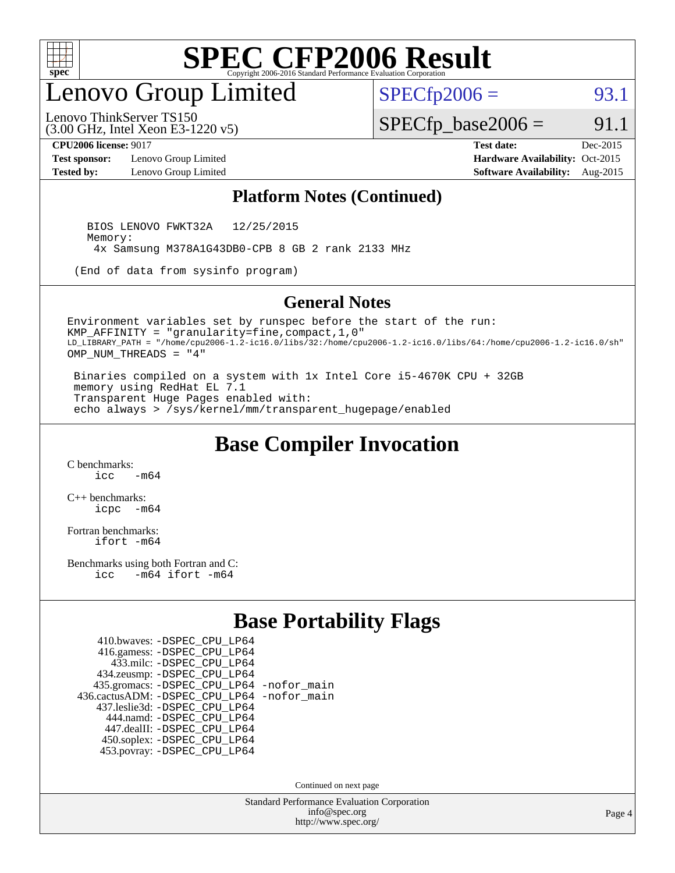

## enovo Group Limited

 $SPECTp2006 = 93.1$ 

(3.00 GHz, Intel Xeon E3-1220 v5) Lenovo ThinkServer TS150

 $SPECfp\_base2006 = 91.1$ 

**[Test sponsor:](http://www.spec.org/auto/cpu2006/Docs/result-fields.html#Testsponsor)** Lenovo Group Limited **[Hardware Availability:](http://www.spec.org/auto/cpu2006/Docs/result-fields.html#HardwareAvailability)** Oct-2015

**[CPU2006 license:](http://www.spec.org/auto/cpu2006/Docs/result-fields.html#CPU2006license)** 9017 **[Test date:](http://www.spec.org/auto/cpu2006/Docs/result-fields.html#Testdate)** Dec-2015 **[Tested by:](http://www.spec.org/auto/cpu2006/Docs/result-fields.html#Testedby)** Lenovo Group Limited **[Software Availability:](http://www.spec.org/auto/cpu2006/Docs/result-fields.html#SoftwareAvailability)** Aug-2015

#### **[Platform Notes \(Continued\)](http://www.spec.org/auto/cpu2006/Docs/result-fields.html#PlatformNotes)**

 BIOS LENOVO FWKT32A 12/25/2015 Memory: 4x Samsung M378A1G43DB0-CPB 8 GB 2 rank 2133 MHz

(End of data from sysinfo program)

#### **[General Notes](http://www.spec.org/auto/cpu2006/Docs/result-fields.html#GeneralNotes)**

Environment variables set by runspec before the start of the run: KMP\_AFFINITY = "granularity=fine,compact,1,0" LD\_LIBRARY\_PATH = "/home/cpu2006-1.2-ic16.0/libs/32:/home/cpu2006-1.2-ic16.0/libs/64:/home/cpu2006-1.2-ic16.0/sh" OMP\_NUM\_THREADS = "4"

 Binaries compiled on a system with 1x Intel Core i5-4670K CPU + 32GB memory using RedHat EL 7.1 Transparent Huge Pages enabled with: echo always > /sys/kernel/mm/transparent\_hugepage/enabled

### **[Base Compiler Invocation](http://www.spec.org/auto/cpu2006/Docs/result-fields.html#BaseCompilerInvocation)**

[C benchmarks](http://www.spec.org/auto/cpu2006/Docs/result-fields.html#Cbenchmarks):  $\frac{1}{2}$  cc  $-$  m64

[C++ benchmarks:](http://www.spec.org/auto/cpu2006/Docs/result-fields.html#CXXbenchmarks) [icpc -m64](http://www.spec.org/cpu2006/results/res2016q1/cpu2006-20160125-38868.flags.html#user_CXXbase_intel_icpc_64bit_bedb90c1146cab66620883ef4f41a67e)

[Fortran benchmarks](http://www.spec.org/auto/cpu2006/Docs/result-fields.html#Fortranbenchmarks): [ifort -m64](http://www.spec.org/cpu2006/results/res2016q1/cpu2006-20160125-38868.flags.html#user_FCbase_intel_ifort_64bit_ee9d0fb25645d0210d97eb0527dcc06e)

[Benchmarks using both Fortran and C](http://www.spec.org/auto/cpu2006/Docs/result-fields.html#BenchmarksusingbothFortranandC): [icc -m64](http://www.spec.org/cpu2006/results/res2016q1/cpu2006-20160125-38868.flags.html#user_CC_FCbase_intel_icc_64bit_0b7121f5ab7cfabee23d88897260401c) [ifort -m64](http://www.spec.org/cpu2006/results/res2016q1/cpu2006-20160125-38868.flags.html#user_CC_FCbase_intel_ifort_64bit_ee9d0fb25645d0210d97eb0527dcc06e)

### **[Base Portability Flags](http://www.spec.org/auto/cpu2006/Docs/result-fields.html#BasePortabilityFlags)**

| 410.bwaves: - DSPEC CPU LP64                 |  |
|----------------------------------------------|--|
| 416.gamess: -DSPEC_CPU_LP64                  |  |
| 433.milc: - DSPEC_CPU LP64                   |  |
| 434.zeusmp: -DSPEC_CPU_LP64                  |  |
| 435.gromacs: -DSPEC_CPU_LP64 -nofor_main     |  |
| 436.cactusADM: - DSPEC CPU LP64 - nofor main |  |
| 437.leslie3d: -DSPEC CPU LP64                |  |
| 444.namd: - DSPEC_CPU_LP64                   |  |
| 447.dealII: -DSPEC CPU LP64                  |  |
| 450.soplex: -DSPEC_CPU_LP64                  |  |
| 453.povray: -DSPEC CPU LP64                  |  |

Continued on next page

Standard Performance Evaluation Corporation [info@spec.org](mailto:info@spec.org) <http://www.spec.org/>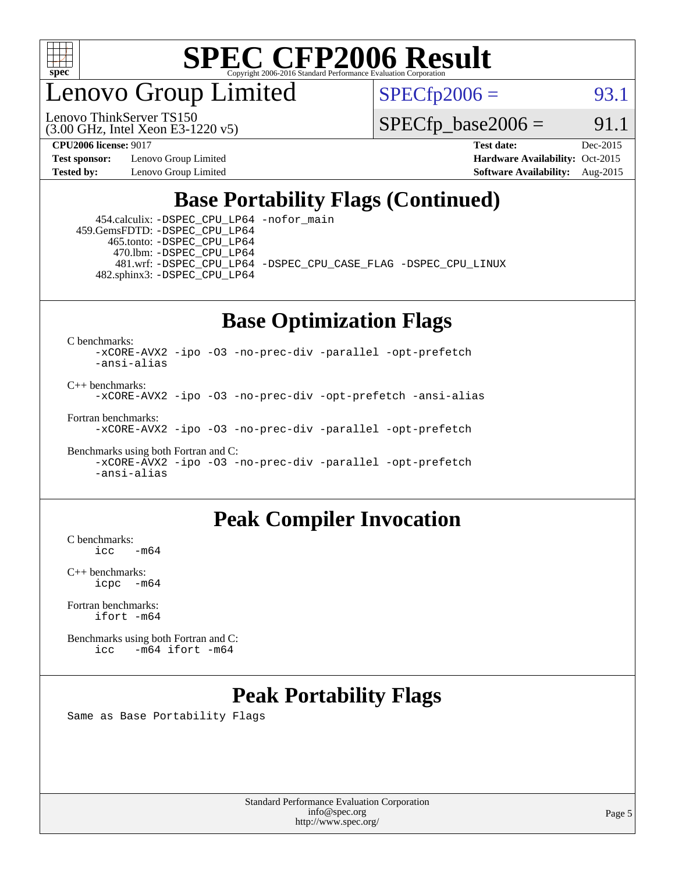

enovo Group Limited

Lenovo ThinkServer TS150

 $SPECTp2006 = 93.1$ 

 $SPECTp\_base2006 = 91.1$ 

**[Test sponsor:](http://www.spec.org/auto/cpu2006/Docs/result-fields.html#Testsponsor)** Lenovo Group Limited **[Hardware Availability:](http://www.spec.org/auto/cpu2006/Docs/result-fields.html#HardwareAvailability)** Oct-2015

(3.00 GHz, Intel Xeon E3-1220 v5)

**[CPU2006 license:](http://www.spec.org/auto/cpu2006/Docs/result-fields.html#CPU2006license)** 9017 **[Test date:](http://www.spec.org/auto/cpu2006/Docs/result-fields.html#Testdate)** Dec-2015 **[Tested by:](http://www.spec.org/auto/cpu2006/Docs/result-fields.html#Testedby)** Lenovo Group Limited **[Software Availability:](http://www.spec.org/auto/cpu2006/Docs/result-fields.html#SoftwareAvailability)** Aug-2015

### **[Base Portability Flags \(Continued\)](http://www.spec.org/auto/cpu2006/Docs/result-fields.html#BasePortabilityFlags)**

 454.calculix: [-DSPEC\\_CPU\\_LP64](http://www.spec.org/cpu2006/results/res2016q1/cpu2006-20160125-38868.flags.html#suite_basePORTABILITY454_calculix_DSPEC_CPU_LP64) [-nofor\\_main](http://www.spec.org/cpu2006/results/res2016q1/cpu2006-20160125-38868.flags.html#user_baseLDPORTABILITY454_calculix_f-nofor_main) 459.GemsFDTD: [-DSPEC\\_CPU\\_LP64](http://www.spec.org/cpu2006/results/res2016q1/cpu2006-20160125-38868.flags.html#suite_basePORTABILITY459_GemsFDTD_DSPEC_CPU_LP64) 465.tonto: [-DSPEC\\_CPU\\_LP64](http://www.spec.org/cpu2006/results/res2016q1/cpu2006-20160125-38868.flags.html#suite_basePORTABILITY465_tonto_DSPEC_CPU_LP64) 470.lbm: [-DSPEC\\_CPU\\_LP64](http://www.spec.org/cpu2006/results/res2016q1/cpu2006-20160125-38868.flags.html#suite_basePORTABILITY470_lbm_DSPEC_CPU_LP64) 481.wrf: [-DSPEC\\_CPU\\_LP64](http://www.spec.org/cpu2006/results/res2016q1/cpu2006-20160125-38868.flags.html#suite_basePORTABILITY481_wrf_DSPEC_CPU_LP64) [-DSPEC\\_CPU\\_CASE\\_FLAG](http://www.spec.org/cpu2006/results/res2016q1/cpu2006-20160125-38868.flags.html#b481.wrf_baseCPORTABILITY_DSPEC_CPU_CASE_FLAG) [-DSPEC\\_CPU\\_LINUX](http://www.spec.org/cpu2006/results/res2016q1/cpu2006-20160125-38868.flags.html#b481.wrf_baseCPORTABILITY_DSPEC_CPU_LINUX) 482.sphinx3: [-DSPEC\\_CPU\\_LP64](http://www.spec.org/cpu2006/results/res2016q1/cpu2006-20160125-38868.flags.html#suite_basePORTABILITY482_sphinx3_DSPEC_CPU_LP64)

## **[Base Optimization Flags](http://www.spec.org/auto/cpu2006/Docs/result-fields.html#BaseOptimizationFlags)**

[C benchmarks](http://www.spec.org/auto/cpu2006/Docs/result-fields.html#Cbenchmarks):

[-xCORE-AVX2](http://www.spec.org/cpu2006/results/res2016q1/cpu2006-20160125-38868.flags.html#user_CCbase_f-xAVX2_5f5fc0cbe2c9f62c816d3e45806c70d7) [-ipo](http://www.spec.org/cpu2006/results/res2016q1/cpu2006-20160125-38868.flags.html#user_CCbase_f-ipo) [-O3](http://www.spec.org/cpu2006/results/res2016q1/cpu2006-20160125-38868.flags.html#user_CCbase_f-O3) [-no-prec-div](http://www.spec.org/cpu2006/results/res2016q1/cpu2006-20160125-38868.flags.html#user_CCbase_f-no-prec-div) [-parallel](http://www.spec.org/cpu2006/results/res2016q1/cpu2006-20160125-38868.flags.html#user_CCbase_f-parallel) [-opt-prefetch](http://www.spec.org/cpu2006/results/res2016q1/cpu2006-20160125-38868.flags.html#user_CCbase_f-opt-prefetch) [-ansi-alias](http://www.spec.org/cpu2006/results/res2016q1/cpu2006-20160125-38868.flags.html#user_CCbase_f-ansi-alias)

[C++ benchmarks:](http://www.spec.org/auto/cpu2006/Docs/result-fields.html#CXXbenchmarks) [-xCORE-AVX2](http://www.spec.org/cpu2006/results/res2016q1/cpu2006-20160125-38868.flags.html#user_CXXbase_f-xAVX2_5f5fc0cbe2c9f62c816d3e45806c70d7) [-ipo](http://www.spec.org/cpu2006/results/res2016q1/cpu2006-20160125-38868.flags.html#user_CXXbase_f-ipo) [-O3](http://www.spec.org/cpu2006/results/res2016q1/cpu2006-20160125-38868.flags.html#user_CXXbase_f-O3) [-no-prec-div](http://www.spec.org/cpu2006/results/res2016q1/cpu2006-20160125-38868.flags.html#user_CXXbase_f-no-prec-div) [-opt-prefetch](http://www.spec.org/cpu2006/results/res2016q1/cpu2006-20160125-38868.flags.html#user_CXXbase_f-opt-prefetch) [-ansi-alias](http://www.spec.org/cpu2006/results/res2016q1/cpu2006-20160125-38868.flags.html#user_CXXbase_f-ansi-alias)

[Fortran benchmarks](http://www.spec.org/auto/cpu2006/Docs/result-fields.html#Fortranbenchmarks): [-xCORE-AVX2](http://www.spec.org/cpu2006/results/res2016q1/cpu2006-20160125-38868.flags.html#user_FCbase_f-xAVX2_5f5fc0cbe2c9f62c816d3e45806c70d7) [-ipo](http://www.spec.org/cpu2006/results/res2016q1/cpu2006-20160125-38868.flags.html#user_FCbase_f-ipo) [-O3](http://www.spec.org/cpu2006/results/res2016q1/cpu2006-20160125-38868.flags.html#user_FCbase_f-O3) [-no-prec-div](http://www.spec.org/cpu2006/results/res2016q1/cpu2006-20160125-38868.flags.html#user_FCbase_f-no-prec-div) [-parallel](http://www.spec.org/cpu2006/results/res2016q1/cpu2006-20160125-38868.flags.html#user_FCbase_f-parallel) [-opt-prefetch](http://www.spec.org/cpu2006/results/res2016q1/cpu2006-20160125-38868.flags.html#user_FCbase_f-opt-prefetch)

[Benchmarks using both Fortran and C](http://www.spec.org/auto/cpu2006/Docs/result-fields.html#BenchmarksusingbothFortranandC): [-xCORE-AVX2](http://www.spec.org/cpu2006/results/res2016q1/cpu2006-20160125-38868.flags.html#user_CC_FCbase_f-xAVX2_5f5fc0cbe2c9f62c816d3e45806c70d7) [-ipo](http://www.spec.org/cpu2006/results/res2016q1/cpu2006-20160125-38868.flags.html#user_CC_FCbase_f-ipo) [-O3](http://www.spec.org/cpu2006/results/res2016q1/cpu2006-20160125-38868.flags.html#user_CC_FCbase_f-O3) [-no-prec-div](http://www.spec.org/cpu2006/results/res2016q1/cpu2006-20160125-38868.flags.html#user_CC_FCbase_f-no-prec-div) [-parallel](http://www.spec.org/cpu2006/results/res2016q1/cpu2006-20160125-38868.flags.html#user_CC_FCbase_f-parallel) [-opt-prefetch](http://www.spec.org/cpu2006/results/res2016q1/cpu2006-20160125-38868.flags.html#user_CC_FCbase_f-opt-prefetch) [-ansi-alias](http://www.spec.org/cpu2006/results/res2016q1/cpu2006-20160125-38868.flags.html#user_CC_FCbase_f-ansi-alias)

### **[Peak Compiler Invocation](http://www.spec.org/auto/cpu2006/Docs/result-fields.html#PeakCompilerInvocation)**

 $C$  benchmarks:<br>icc  $-m64$ 

[C++ benchmarks:](http://www.spec.org/auto/cpu2006/Docs/result-fields.html#CXXbenchmarks) [icpc -m64](http://www.spec.org/cpu2006/results/res2016q1/cpu2006-20160125-38868.flags.html#user_CXXpeak_intel_icpc_64bit_bedb90c1146cab66620883ef4f41a67e)

[Fortran benchmarks](http://www.spec.org/auto/cpu2006/Docs/result-fields.html#Fortranbenchmarks): [ifort -m64](http://www.spec.org/cpu2006/results/res2016q1/cpu2006-20160125-38868.flags.html#user_FCpeak_intel_ifort_64bit_ee9d0fb25645d0210d97eb0527dcc06e)

[Benchmarks using both Fortran and C](http://www.spec.org/auto/cpu2006/Docs/result-fields.html#BenchmarksusingbothFortranandC): [icc -m64](http://www.spec.org/cpu2006/results/res2016q1/cpu2006-20160125-38868.flags.html#user_CC_FCpeak_intel_icc_64bit_0b7121f5ab7cfabee23d88897260401c) [ifort -m64](http://www.spec.org/cpu2006/results/res2016q1/cpu2006-20160125-38868.flags.html#user_CC_FCpeak_intel_ifort_64bit_ee9d0fb25645d0210d97eb0527dcc06e)

### **[Peak Portability Flags](http://www.spec.org/auto/cpu2006/Docs/result-fields.html#PeakPortabilityFlags)**

Same as Base Portability Flags

Standard Performance Evaluation Corporation [info@spec.org](mailto:info@spec.org) <http://www.spec.org/>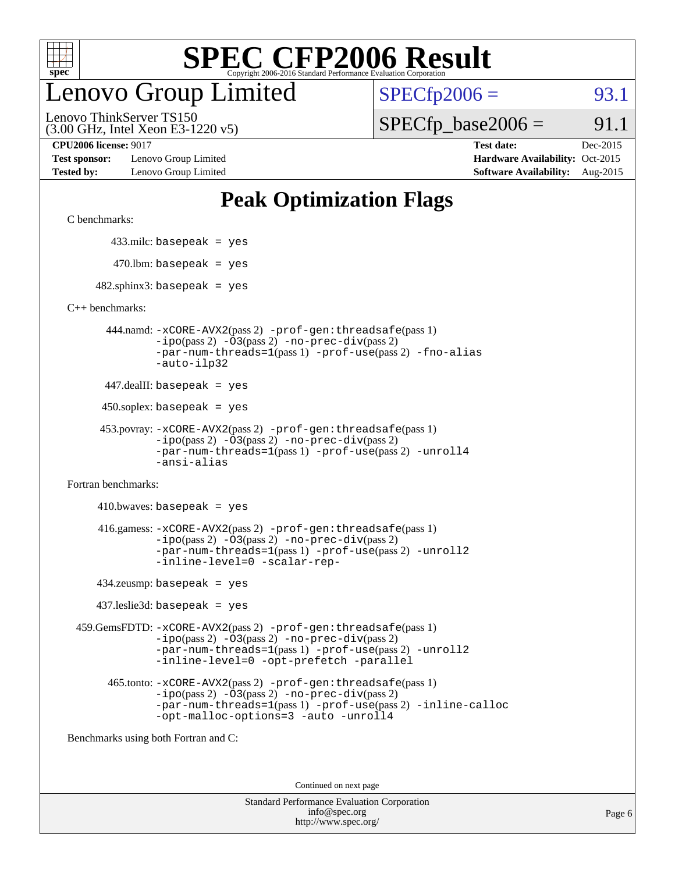

## enovo Group Limited

 $SPECTp2006 = 93.1$ 

(3.00 GHz, Intel Xeon E3-1220 v5) Lenovo ThinkServer TS150

**[Test sponsor:](http://www.spec.org/auto/cpu2006/Docs/result-fields.html#Testsponsor)** Lenovo Group Limited **[Hardware Availability:](http://www.spec.org/auto/cpu2006/Docs/result-fields.html#HardwareAvailability)** Oct-2015 **[Tested by:](http://www.spec.org/auto/cpu2006/Docs/result-fields.html#Testedby)** Lenovo Group Limited **[Software Availability:](http://www.spec.org/auto/cpu2006/Docs/result-fields.html#SoftwareAvailability)** Aug-2015

 $SPECTp\_base2006 = 91.1$ **[CPU2006 license:](http://www.spec.org/auto/cpu2006/Docs/result-fields.html#CPU2006license)** 9017 **[Test date:](http://www.spec.org/auto/cpu2006/Docs/result-fields.html#Testdate)** Dec-2015

## **[Peak Optimization Flags](http://www.spec.org/auto/cpu2006/Docs/result-fields.html#PeakOptimizationFlags)**

[C benchmarks](http://www.spec.org/auto/cpu2006/Docs/result-fields.html#Cbenchmarks):

433.milc: basepeak = yes

 $470.$ lbm: basepeak = yes

 $482$ .sphinx3: basepeak = yes

[C++ benchmarks:](http://www.spec.org/auto/cpu2006/Docs/result-fields.html#CXXbenchmarks)

 444.namd: [-xCORE-AVX2](http://www.spec.org/cpu2006/results/res2016q1/cpu2006-20160125-38868.flags.html#user_peakPASS2_CXXFLAGSPASS2_LDFLAGS444_namd_f-xAVX2_5f5fc0cbe2c9f62c816d3e45806c70d7)(pass 2) [-prof-gen:threadsafe](http://www.spec.org/cpu2006/results/res2016q1/cpu2006-20160125-38868.flags.html#user_peakPASS1_CXXFLAGSPASS1_LDFLAGS444_namd_prof_gen_21a26eb79f378b550acd7bec9fe4467a)(pass 1)  $-i\text{po}(pass 2) -03(pass 2) -no-prec-div(pass 2)$  $-i\text{po}(pass 2) -03(pass 2) -no-prec-div(pass 2)$  $-i\text{po}(pass 2) -03(pass 2) -no-prec-div(pass 2)$ [-par-num-threads=1](http://www.spec.org/cpu2006/results/res2016q1/cpu2006-20160125-38868.flags.html#user_peakPASS1_CXXFLAGSPASS1_LDFLAGS444_namd_par_num_threads_786a6ff141b4e9e90432e998842df6c2)(pass 1) [-prof-use](http://www.spec.org/cpu2006/results/res2016q1/cpu2006-20160125-38868.flags.html#user_peakPASS2_CXXFLAGSPASS2_LDFLAGS444_namd_prof_use_bccf7792157ff70d64e32fe3e1250b55)(pass 2) [-fno-alias](http://www.spec.org/cpu2006/results/res2016q1/cpu2006-20160125-38868.flags.html#user_peakCXXOPTIMIZEOPTIMIZE444_namd_f-no-alias_694e77f6c5a51e658e82ccff53a9e63a) [-auto-ilp32](http://www.spec.org/cpu2006/results/res2016q1/cpu2006-20160125-38868.flags.html#user_peakCXXOPTIMIZE444_namd_f-auto-ilp32)

 $447$ .dealII: basepeak = yes

450.soplex: basepeak = yes

```
 453.povray: -xCORE-AVX2(pass 2) -prof-gen:threadsafe(pass 1)
        -no-prec-div(pass 2)-par-num-threads=1(pass 1) -prof-use(pass 2) -unroll4
        -ansi-alias
```
[Fortran benchmarks](http://www.spec.org/auto/cpu2006/Docs/result-fields.html#Fortranbenchmarks):

 $410.bwaves: basepeak = yes$  416.gamess: [-xCORE-AVX2](http://www.spec.org/cpu2006/results/res2016q1/cpu2006-20160125-38868.flags.html#user_peakPASS2_FFLAGSPASS2_LDFLAGS416_gamess_f-xAVX2_5f5fc0cbe2c9f62c816d3e45806c70d7)(pass 2) [-prof-gen:threadsafe](http://www.spec.org/cpu2006/results/res2016q1/cpu2006-20160125-38868.flags.html#user_peakPASS1_FFLAGSPASS1_LDFLAGS416_gamess_prof_gen_21a26eb79f378b550acd7bec9fe4467a)(pass 1)  $-i\text{po}(pass 2) -\text{O3}(pass 2)$  [-no-prec-div](http://www.spec.org/cpu2006/results/res2016q1/cpu2006-20160125-38868.flags.html#user_peakPASS2_FFLAGSPASS2_LDFLAGS416_gamess_f-no-prec-div)(pass 2) [-par-num-threads=1](http://www.spec.org/cpu2006/results/res2016q1/cpu2006-20160125-38868.flags.html#user_peakPASS1_FFLAGSPASS1_LDFLAGS416_gamess_par_num_threads_786a6ff141b4e9e90432e998842df6c2)(pass 1) [-prof-use](http://www.spec.org/cpu2006/results/res2016q1/cpu2006-20160125-38868.flags.html#user_peakPASS2_FFLAGSPASS2_LDFLAGS416_gamess_prof_use_bccf7792157ff70d64e32fe3e1250b55)(pass 2) [-unroll2](http://www.spec.org/cpu2006/results/res2016q1/cpu2006-20160125-38868.flags.html#user_peakOPTIMIZE416_gamess_f-unroll_784dae83bebfb236979b41d2422d7ec2) [-inline-level=0](http://www.spec.org/cpu2006/results/res2016q1/cpu2006-20160125-38868.flags.html#user_peakOPTIMIZE416_gamess_f-inline-level_318d07a09274ad25e8d15dbfaa68ba50) [-scalar-rep-](http://www.spec.org/cpu2006/results/res2016q1/cpu2006-20160125-38868.flags.html#user_peakOPTIMIZE416_gamess_f-disablescalarrep_abbcad04450fb118e4809c81d83c8a1d)

434.zeusmp: basepeak = yes

437.leslie3d: basepeak = yes

 459.GemsFDTD: [-xCORE-AVX2](http://www.spec.org/cpu2006/results/res2016q1/cpu2006-20160125-38868.flags.html#user_peakPASS2_FFLAGSPASS2_LDFLAGS459_GemsFDTD_f-xAVX2_5f5fc0cbe2c9f62c816d3e45806c70d7)(pass 2) [-prof-gen:threadsafe](http://www.spec.org/cpu2006/results/res2016q1/cpu2006-20160125-38868.flags.html#user_peakPASS1_FFLAGSPASS1_LDFLAGS459_GemsFDTD_prof_gen_21a26eb79f378b550acd7bec9fe4467a)(pass 1)  $-i\text{po}(pass 2) -03(pass 2) -no-prec-div(pass 2)$  $-i\text{po}(pass 2) -03(pass 2) -no-prec-div(pass 2)$  $-i\text{po}(pass 2) -03(pass 2) -no-prec-div(pass 2)$ [-par-num-threads=1](http://www.spec.org/cpu2006/results/res2016q1/cpu2006-20160125-38868.flags.html#user_peakPASS1_FFLAGSPASS1_LDFLAGS459_GemsFDTD_par_num_threads_786a6ff141b4e9e90432e998842df6c2)(pass 1) [-prof-use](http://www.spec.org/cpu2006/results/res2016q1/cpu2006-20160125-38868.flags.html#user_peakPASS2_FFLAGSPASS2_LDFLAGS459_GemsFDTD_prof_use_bccf7792157ff70d64e32fe3e1250b55)(pass 2) [-unroll2](http://www.spec.org/cpu2006/results/res2016q1/cpu2006-20160125-38868.flags.html#user_peakOPTIMIZE459_GemsFDTD_f-unroll_784dae83bebfb236979b41d2422d7ec2) [-inline-level=0](http://www.spec.org/cpu2006/results/res2016q1/cpu2006-20160125-38868.flags.html#user_peakOPTIMIZE459_GemsFDTD_f-inline-level_318d07a09274ad25e8d15dbfaa68ba50) [-opt-prefetch](http://www.spec.org/cpu2006/results/res2016q1/cpu2006-20160125-38868.flags.html#user_peakOPTIMIZE459_GemsFDTD_f-opt-prefetch) [-parallel](http://www.spec.org/cpu2006/results/res2016q1/cpu2006-20160125-38868.flags.html#user_peakOPTIMIZE459_GemsFDTD_f-parallel)

 465.tonto: [-xCORE-AVX2](http://www.spec.org/cpu2006/results/res2016q1/cpu2006-20160125-38868.flags.html#user_peakPASS2_FFLAGSPASS2_LDFLAGS465_tonto_f-xAVX2_5f5fc0cbe2c9f62c816d3e45806c70d7)(pass 2) [-prof-gen:threadsafe](http://www.spec.org/cpu2006/results/res2016q1/cpu2006-20160125-38868.flags.html#user_peakPASS1_FFLAGSPASS1_LDFLAGS465_tonto_prof_gen_21a26eb79f378b550acd7bec9fe4467a)(pass 1)  $-i\text{po}(pass 2)$   $-03(pass 2)$   $-no-prec-div(pass 2)$  $-no-prec-div(pass 2)$ [-par-num-threads=1](http://www.spec.org/cpu2006/results/res2016q1/cpu2006-20160125-38868.flags.html#user_peakPASS1_FFLAGSPASS1_LDFLAGS465_tonto_par_num_threads_786a6ff141b4e9e90432e998842df6c2)(pass 1) [-prof-use](http://www.spec.org/cpu2006/results/res2016q1/cpu2006-20160125-38868.flags.html#user_peakPASS2_FFLAGSPASS2_LDFLAGS465_tonto_prof_use_bccf7792157ff70d64e32fe3e1250b55)(pass 2) [-inline-calloc](http://www.spec.org/cpu2006/results/res2016q1/cpu2006-20160125-38868.flags.html#user_peakOPTIMIZE465_tonto_f-inline-calloc) [-opt-malloc-options=3](http://www.spec.org/cpu2006/results/res2016q1/cpu2006-20160125-38868.flags.html#user_peakOPTIMIZE465_tonto_f-opt-malloc-options_13ab9b803cf986b4ee62f0a5998c2238) [-auto](http://www.spec.org/cpu2006/results/res2016q1/cpu2006-20160125-38868.flags.html#user_peakOPTIMIZE465_tonto_f-auto) [-unroll4](http://www.spec.org/cpu2006/results/res2016q1/cpu2006-20160125-38868.flags.html#user_peakOPTIMIZE465_tonto_f-unroll_4e5e4ed65b7fd20bdcd365bec371b81f)

[Benchmarks using both Fortran and C](http://www.spec.org/auto/cpu2006/Docs/result-fields.html#BenchmarksusingbothFortranandC):

Continued on next page

| <b>Standard Performance Evaluation Corporation</b> |
|----------------------------------------------------|
| info@spec.org                                      |
| http://www.spec.org/                               |